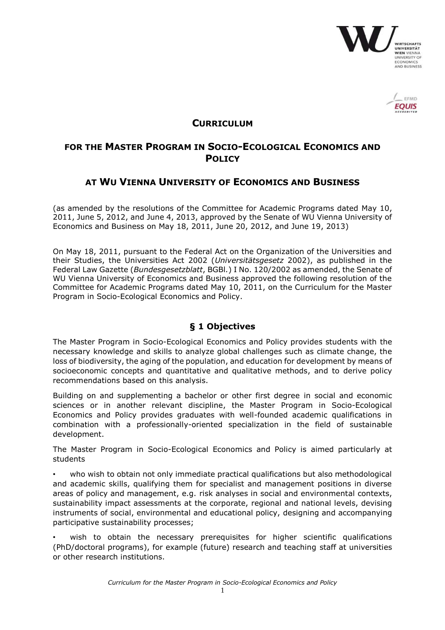



### **CURRICULUM**

# **FOR THE MASTER PROGRAM IN SOCIO-ECOLOGICAL ECONOMICS AND POLICY**

## **AT WU VIENNA UNIVERSITY OF ECONOMICS AND BUSINESS**

(as amended by the resolutions of the Committee for Academic Programs dated May 10, 2011, June 5, 2012, and June 4, 2013, approved by the Senate of WU Vienna University of Economics and Business on May 18, 2011, June 20, 2012, and June 19, 2013)

On May 18, 2011, pursuant to the Federal Act on the Organization of the Universities and their Studies, the Universities Act 2002 (*Universitätsgesetz* 2002), as published in the Federal Law Gazette (*Bundesgesetzblatt*, BGBl*.*) I No. 120/2002 as amended, the Senate of WU Vienna University of Economics and Business approved the following resolution of the Committee for Academic Programs dated May 10, 2011, on the Curriculum for the Master Program in Socio-Ecological Economics and Policy.

### **§ 1 Objectives**

The Master Program in Socio-Ecological Economics and Policy provides students with the necessary knowledge and skills to analyze global challenges such as climate change, the loss of biodiversity, the aging of the population, and education for development by means of socioeconomic concepts and quantitative and qualitative methods, and to derive policy recommendations based on this analysis.

Building on and supplementing a bachelor or other first degree in social and economic sciences or in another relevant discipline, the Master Program in Socio-Ecological Economics and Policy provides graduates with well-founded academic qualifications in combination with a professionally-oriented specialization in the field of sustainable development.

The Master Program in Socio-Ecological Economics and Policy is aimed particularly at students

• who wish to obtain not only immediate practical qualifications but also methodological and academic skills, qualifying them for specialist and management positions in diverse areas of policy and management, e.g. risk analyses in social and environmental contexts, sustainability impact assessments at the corporate, regional and national levels, devising instruments of social, environmental and educational policy, designing and accompanying participative sustainability processes;

wish to obtain the necessary prerequisites for higher scientific qualifications (PhD/doctoral programs), for example (future) research and teaching staff at universities or other research institutions.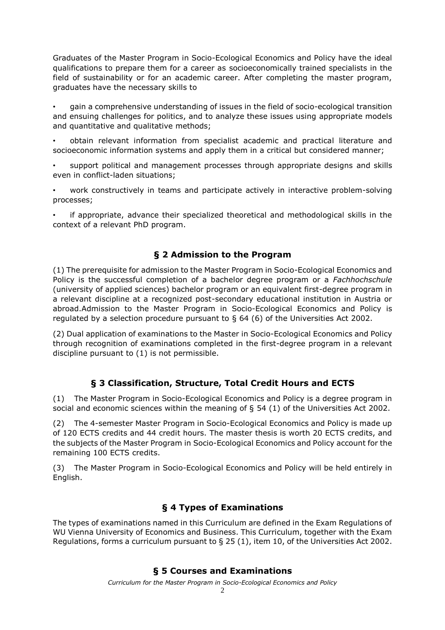Graduates of the Master Program in Socio-Ecological Economics and Policy have the ideal qualifications to prepare them for a career as socioeconomically trained specialists in the field of sustainability or for an academic career. After completing the master program, graduates have the necessary skills to

• gain a comprehensive understanding of issues in the field of socio-ecological transition and ensuing challenges for politics, and to analyze these issues using appropriate models and quantitative and qualitative methods;

• obtain relevant information from specialist academic and practical literature and socioeconomic information systems and apply them in a critical but considered manner;

• support political and management processes through appropriate designs and skills even in conflict-laden situations;

• work constructively in teams and participate actively in interactive problem-solving processes;

if appropriate, advance their specialized theoretical and methodological skills in the context of a relevant PhD program.

## **§ 2 Admission to the Program**

(1) The prerequisite for admission to the Master Program in Socio-Ecological Economics and Policy is the successful completion of a bachelor degree program or a *Fachhochschule* (university of applied sciences) bachelor program or an equivalent first-degree program in a relevant discipline at a recognized post-secondary educational institution in Austria or abroad.Admission to the Master Program in Socio-Ecological Economics and Policy is regulated by a selection procedure pursuant to  $\S$  64 (6) of the Universities Act 2002.

(2) Dual application of examinations to the Master in Socio-Ecological Economics and Policy through recognition of examinations completed in the first-degree program in a relevant discipline pursuant to (1) is not permissible.

### **§ 3 Classification, Structure, Total Credit Hours and ECTS**

(1) The Master Program in Socio-Ecological Economics and Policy is a degree program in social and economic sciences within the meaning of § 54 (1) of the Universities Act 2002.

(2) The 4-semester Master Program in Socio-Ecological Economics and Policy is made up of 120 ECTS credits and 44 credit hours. The master thesis is worth 20 ECTS credits, and the subjects of the Master Program in Socio-Ecological Economics and Policy account for the remaining 100 ECTS credits.

(3) The Master Program in Socio-Ecological Economics and Policy will be held entirely in English.

### **§ 4 Types of Examinations**

The types of examinations named in this Curriculum are defined in the Exam Regulations of WU Vienna University of Economics and Business. This Curriculum, together with the Exam Regulations, forms a curriculum pursuant to  $\S 25 (1)$ , item 10, of the Universities Act 2002.

### **§ 5 Courses and Examinations**

*Curriculum for the Master Program in Socio-Ecological Economics and Policy*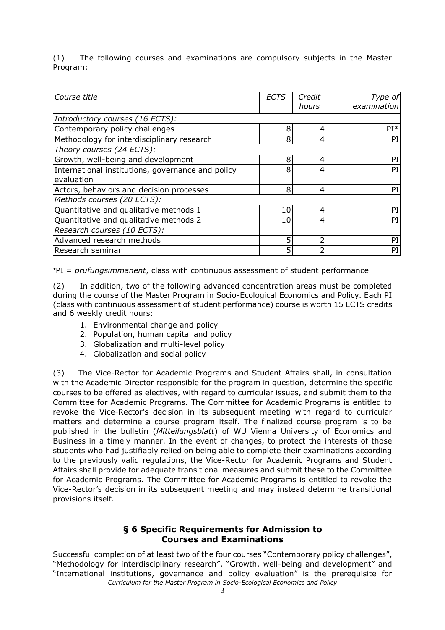(1) The following courses and examinations are compulsory subjects in the Master Program:

| Course title                                                    | ECTS | Credit<br>hours | Type of<br>examination |
|-----------------------------------------------------------------|------|-----------------|------------------------|
| Introductory courses (16 ECTS):                                 |      |                 |                        |
| Contemporary policy challenges                                  | 8    | 4               | $PI*$                  |
| Methodology for interdisciplinary research                      | 8    | 4               | PI                     |
| Theory courses (24 ECTS):                                       |      |                 |                        |
| Growth, well-being and development                              | 8    | 4               | PI                     |
| International institutions, governance and policy<br>evaluation | 8    | 4               | PI                     |
| Actors, behaviors and decision processes                        | 8    | 4               | PI                     |
| Methods courses (20 ECTS):                                      |      |                 |                        |
| Quantitative and qualitative methods 1                          | 10   | 4               | PI                     |
| Quantitative and qualitative methods 2                          | 10   | 4               | PI                     |
| Research courses (10 ECTS):                                     |      |                 |                        |
| Advanced research methods                                       | 5    | フ               | PI                     |
| Research seminar                                                | 5    |                 | PI                     |

\*PI = *prüfungsimmanent*, class with continuous assessment of student performance

(2) In addition, two of the following advanced concentration areas must be completed during the course of the Master Program in Socio-Ecological Economics and Policy. Each PI (class with continuous assessment of student performance) course is worth 15 ECTS credits and 6 weekly credit hours:

- 1. Environmental change and policy
- 2. Population, human capital and policy
- 3. Globalization and multi-level policy
- 4. Globalization and social policy

(3) The Vice-Rector for Academic Programs and Student Affairs shall, in consultation with the Academic Director responsible for the program in question, determine the specific courses to be offered as electives, with regard to curricular issues, and submit them to the Committee for Academic Programs. The Committee for Academic Programs is entitled to revoke the Vice-Rector's decision in its subsequent meeting with regard to curricular matters and determine a course program itself. The finalized course program is to be published in the bulletin (*Mitteilungsblatt*) of WU Vienna University of Economics and Business in a timely manner. In the event of changes, to protect the interests of those students who had justifiably relied on being able to complete their examinations according to the previously valid regulations, the Vice-Rector for Academic Programs and Student Affairs shall provide for adequate transitional measures and submit these to the Committee for Academic Programs. The Committee for Academic Programs is entitled to revoke the Vice-Rector's decision in its subsequent meeting and may instead determine transitional provisions itself.

#### **§ 6 Specific Requirements for Admission to Courses and Examinations**

*Curriculum for the Master Program in Socio-Ecological Economics and Policy* Successful completion of at least two of the four courses "Contemporary policy challenges", "Methodology for interdisciplinary research", "Growth, well-being and development" and "International institutions, governance and policy evaluation" is the prerequisite for